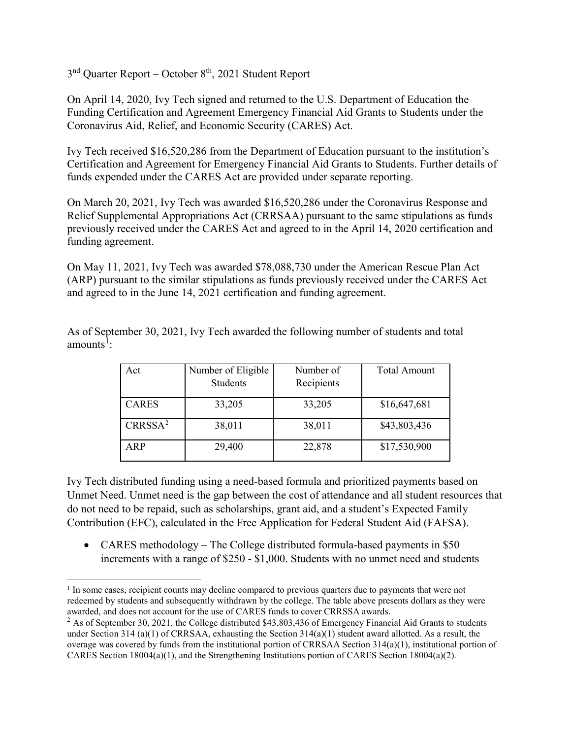$3<sup>nd</sup>$  Quarter Report – October  $8<sup>th</sup>$ , 2021 Student Report

On April 14, 2020, Ivy Tech signed and returned to the U.S. Department of Education the Funding Certification and Agreement Emergency Financial Aid Grants to Students under the Coronavirus Aid, Relief, and Economic Security (CARES) Act.

Ivy Tech received \$16,520,286 from the Department of Education pursuant to the institution's Certification and Agreement for Emergency Financial Aid Grants to Students. Further details of funds expended under the CARES Act are provided under separate reporting.

On March 20, 2021, Ivy Tech was awarded \$16,520,286 under the Coronavirus Response and Relief Supplemental Appropriations Act (CRRSAA) pursuant to the same stipulations as funds previously received under the CARES Act and agreed to in the April 14, 2020 certification and funding agreement.

On May 11, 2021, Ivy Tech was awarded \$78,088,730 under the American Rescue Plan Act (ARP) pursuant to the similar stipulations as funds previously received under the CARES Act and agreed to in the June 14, 2021 certification and funding agreement.

As of September 30, 2021, Ivy Tech awarded the following number of students and total amounts $^1$  $^1$ :

| Act                 | Number of Eligible | Number of  | <b>Total Amount</b> |
|---------------------|--------------------|------------|---------------------|
|                     | <b>Students</b>    | Recipients |                     |
| <b>CARES</b>        | 33,205             | 33,205     | \$16,647,681        |
| CRRSSA <sup>2</sup> | 38,011             | 38,011     | \$43,803,436        |
| ARP                 | 29,400             | 22,878     | \$17,530,900        |

Ivy Tech distributed funding using a need-based formula and prioritized payments based on Unmet Need. Unmet need is the gap between the cost of attendance and all student resources that do not need to be repaid, such as scholarships, grant aid, and a student's Expected Family Contribution (EFC), calculated in the Free Application for Federal Student Aid (FAFSA).

• CARES methodology – The College distributed formula-based payments in \$50 increments with a range of \$250 - \$1,000. Students with no unmet need and students

 $\overline{\phantom{a}}$ 

<span id="page-0-0"></span> $1$  In some cases, recipient counts may decline compared to previous quarters due to payments that were not redeemed by students and subsequently withdrawn by the college. The table above presents dollars as they were awarded, and does not account for the use of CARES funds to cover CRRSSA awards.

<span id="page-0-1"></span> $2$  As of September 30, 2021, the College distributed \$43,803,436 of Emergency Financial Aid Grants to students under Section 314 (a)(1) of CRRSAA, exhausting the Section 314(a)(1) student award allotted. As a result, the overage was covered by funds from the institutional portion of CRRSAA Section 314(a)(1), institutional portion of CARES Section  $18004(a)(1)$ , and the Strengthening Institutions portion of CARES Section  $18004(a)(2)$ .